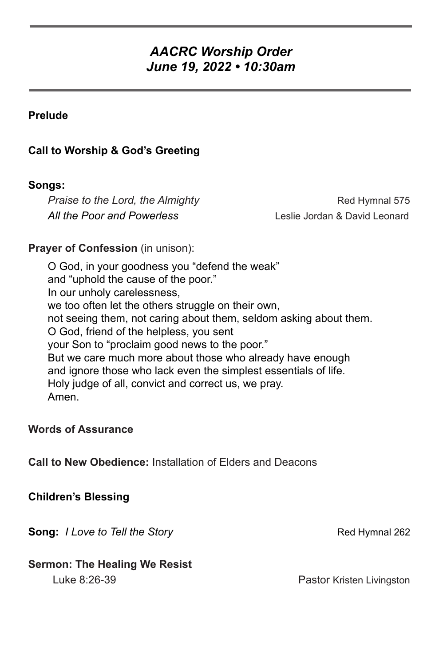# *AACRC Worship Order June 19, 2022 • 10:30am*

# **Prelude**

# **Call to Worship & God's Greeting**

# **Songs:**

*Praise to the Lord, the Almighty* **Example 20** Red Hymnal 575 *All the Poor and Powerless* Leslie Jordan & David Leonard

# **Prayer of Confession** (in unison):

O God, in your goodness you "defend the weak" and "uphold the cause of the poor." In our unholy carelessness, we too often let the others struggle on their own, not seeing them, not caring about them, seldom asking about them. O God, friend of the helpless, you sent your Son to "proclaim good news to the poor." But we care much more about those who already have enough and ignore those who lack even the simplest essentials of life. Holy judge of all, convict and correct us, we pray. Amen.

## **Words of Assurance**

**Call to New Obedience:** Installation of Elders and Deacons

## **Children's Blessing**

**Song:** *I Love to Tell the Story* **Red Hymnal 262** Red Hymnal 262

## **Sermon: The Healing We Resist**

Luke 8:26-39 **Pastor Kristen Livingston**